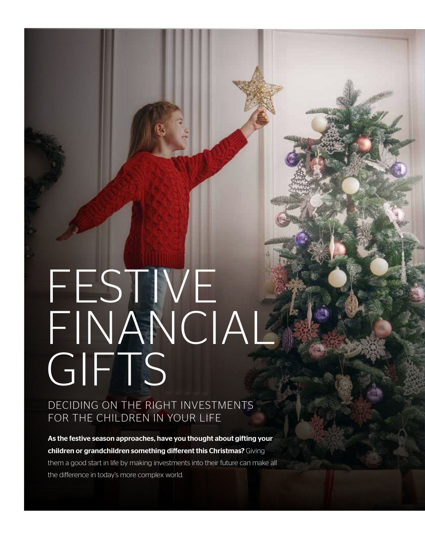# FESTIVE FINANCIAL **GIFTS**

DECIDING ON THE RIGHT INVESTMENTS FOR THE CHILDREN IN YOUR LIFE

As the festive season approaches, have you thought about gifting your children or grandchildren something different this Christmas? Giving them a good start in life by making investments into their future can make all the difference in today's more complex world.